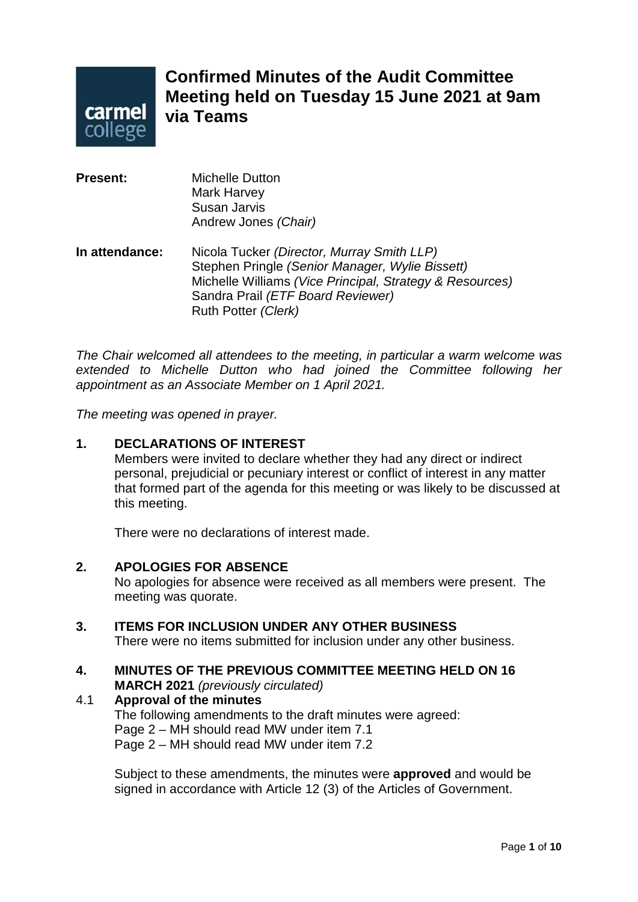

# **Confirmed Minutes of the Audit Committee Meeting held on Tuesday 15 June 2021 at 9am via Teams**

| <b>Present:</b> | <b>Michelle Dutton</b><br><b>Mark Harvey</b><br>Susan Jarvis<br>Andrew Jones (Chair)                                                                                                                                  |
|-----------------|-----------------------------------------------------------------------------------------------------------------------------------------------------------------------------------------------------------------------|
| In attendance:  | Nicola Tucker (Director, Murray Smith LLP)<br>Stephen Pringle (Senior Manager, Wylie Bissett)<br>Michelle Williams (Vice Principal, Strategy & Resources)<br>Sandra Prail (ETF Board Reviewer)<br>Ruth Potter (Clerk) |

*The Chair welcomed all attendees to the meeting, in particular a warm welcome was extended to Michelle Dutton who had joined the Committee following her appointment as an Associate Member on 1 April 2021.* 

*The meeting was opened in prayer.*

#### **1. DECLARATIONS OF INTEREST**

Members were invited to declare whether they had any direct or indirect personal, prejudicial or pecuniary interest or conflict of interest in any matter that formed part of the agenda for this meeting or was likely to be discussed at this meeting.

There were no declarations of interest made.

#### **2. APOLOGIES FOR ABSENCE**

No apologies for absence were received as all members were present. The meeting was quorate.

#### **3. ITEMS FOR INCLUSION UNDER ANY OTHER BUSINESS**

There were no items submitted for inclusion under any other business.

#### **4. MINUTES OF THE PREVIOUS COMMITTEE MEETING HELD ON 16 MARCH 2021** *(previously circulated)*

# 4.1 **Approval of the minutes**

The following amendments to the draft minutes were agreed: Page 2 – MH should read MW under item 7.1 Page 2 – MH should read MW under item 7.2

Subject to these amendments, the minutes were **approved** and would be signed in accordance with Article 12 (3) of the Articles of Government.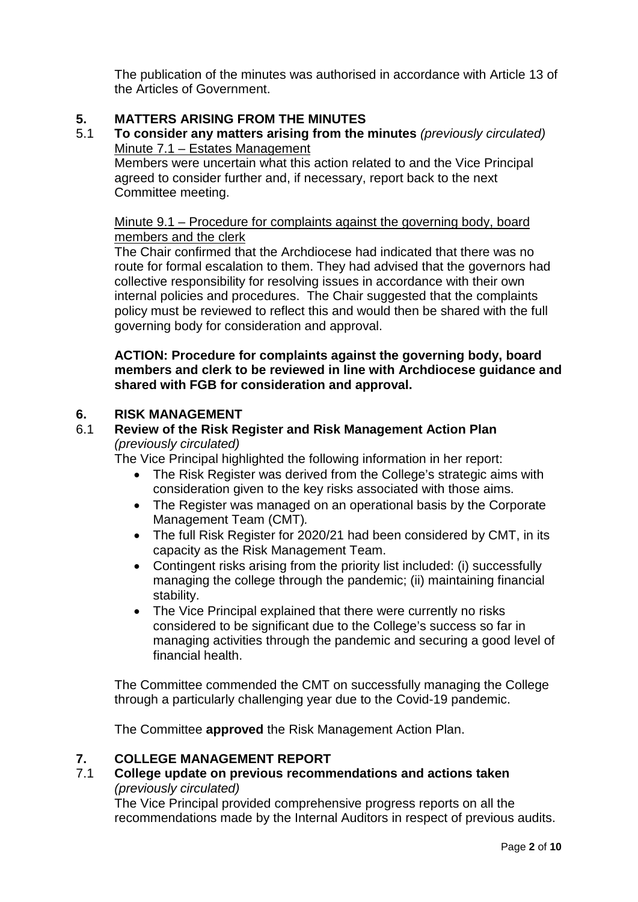The publication of the minutes was authorised in accordance with Article 13 of the Articles of Government.

# **5. MATTERS ARISING FROM THE MINUTES**

5.1 **To consider any matters arising from the minutes** *(previously circulated)* Minute 7.1 – Estates Management

Members were uncertain what this action related to and the Vice Principal agreed to consider further and, if necessary, report back to the next Committee meeting.

# Minute 9.1 – Procedure for complaints against the governing body, board members and the clerk

The Chair confirmed that the Archdiocese had indicated that there was no route for formal escalation to them. They had advised that the governors had collective responsibility for resolving issues in accordance with their own internal policies and procedures. The Chair suggested that the complaints policy must be reviewed to reflect this and would then be shared with the full governing body for consideration and approval.

#### **ACTION: Procedure for complaints against the governing body, board members and clerk to be reviewed in line with Archdiocese guidance and shared with FGB for consideration and approval.**

## **6. RISK MANAGEMENT**

#### 6.1 **Review of the Risk Register and Risk Management Action Plan**  *(previously circulated)*

The Vice Principal highlighted the following information in her report:

- The Risk Register was derived from the College's strategic aims with consideration given to the key risks associated with those aims.
- The Register was managed on an operational basis by the Corporate Management Team (CMT)*.*
- The full Risk Register for 2020/21 had been considered by CMT, in its capacity as the Risk Management Team.
- Contingent risks arising from the priority list included: (i) successfully managing the college through the pandemic; (ii) maintaining financial stability.
- The Vice Principal explained that there were currently no risks considered to be significant due to the College's success so far in managing activities through the pandemic and securing a good level of financial health.

The Committee commended the CMT on successfully managing the College through a particularly challenging year due to the Covid-19 pandemic.

The Committee **approved** the Risk Management Action Plan.

# **7. COLLEGE MANAGEMENT REPORT**

7.1 **College update on previous recommendations and actions taken**  *(previously circulated)*

The Vice Principal provided comprehensive progress reports on all the recommendations made by the Internal Auditors in respect of previous audits.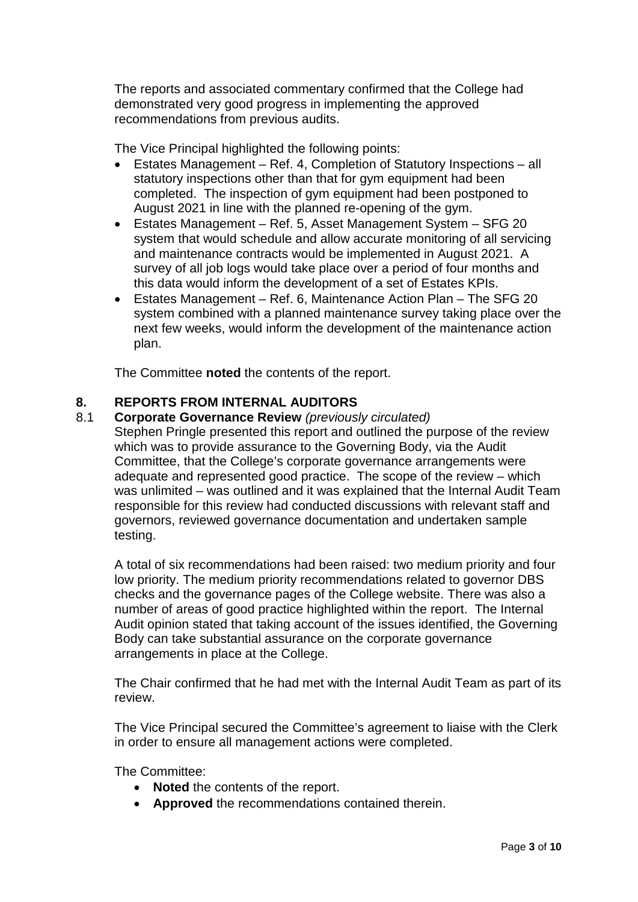The reports and associated commentary confirmed that the College had demonstrated very good progress in implementing the approved recommendations from previous audits.

The Vice Principal highlighted the following points:

- Estates Management Ref. 4, Completion of Statutory Inspections all statutory inspections other than that for gym equipment had been completed. The inspection of gym equipment had been postponed to August 2021 in line with the planned re-opening of the gym.
- Estates Management Ref. 5, Asset Management System SFG 20 system that would schedule and allow accurate monitoring of all servicing and maintenance contracts would be implemented in August 2021. A survey of all job logs would take place over a period of four months and this data would inform the development of a set of Estates KPIs.
- Estates Management Ref. 6, Maintenance Action Plan The SFG 20 system combined with a planned maintenance survey taking place over the next few weeks, would inform the development of the maintenance action plan.

The Committee **noted** the contents of the report.

## **8. REPORTS FROM INTERNAL AUDITORS**

#### 8.1 **Corporate Governance Review** *(previously circulated)*

Stephen Pringle presented this report and outlined the purpose of the review which was to provide assurance to the Governing Body, via the Audit Committee, that the College's corporate governance arrangements were adequate and represented good practice. The scope of the review – which was unlimited – was outlined and it was explained that the Internal Audit Team responsible for this review had conducted discussions with relevant staff and governors, reviewed governance documentation and undertaken sample testing.

A total of six recommendations had been raised: two medium priority and four low priority. The medium priority recommendations related to governor DBS checks and the governance pages of the College website. There was also a number of areas of good practice highlighted within the report. The Internal Audit opinion stated that taking account of the issues identified, the Governing Body can take substantial assurance on the corporate governance arrangements in place at the College.

The Chair confirmed that he had met with the Internal Audit Team as part of its review.

The Vice Principal secured the Committee's agreement to liaise with the Clerk in order to ensure all management actions were completed.

The Committee:

- **Noted** the contents of the report.
- **Approved** the recommendations contained therein.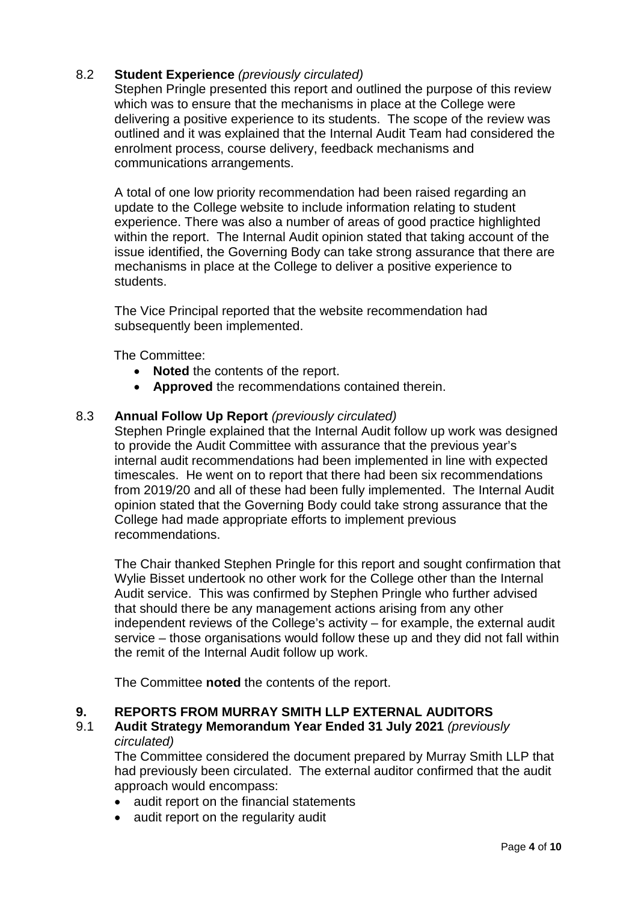# 8.2 **Student Experience** *(previously circulated)*

Stephen Pringle presented this report and outlined the purpose of this review which was to ensure that the mechanisms in place at the College were delivering a positive experience to its students. The scope of the review was outlined and it was explained that the Internal Audit Team had considered the enrolment process, course delivery, feedback mechanisms and communications arrangements.

A total of one low priority recommendation had been raised regarding an update to the College website to include information relating to student experience. There was also a number of areas of good practice highlighted within the report. The Internal Audit opinion stated that taking account of the issue identified, the Governing Body can take strong assurance that there are mechanisms in place at the College to deliver a positive experience to students.

The Vice Principal reported that the website recommendation had subsequently been implemented.

The Committee:

- **Noted** the contents of the report.
- **Approved** the recommendations contained therein.

#### 8.3 **Annual Follow Up Report** *(previously circulated)*

Stephen Pringle explained that the Internal Audit follow up work was designed to provide the Audit Committee with assurance that the previous year's internal audit recommendations had been implemented in line with expected timescales. He went on to report that there had been six recommendations from 2019/20 and all of these had been fully implemented. The Internal Audit opinion stated that the Governing Body could take strong assurance that the College had made appropriate efforts to implement previous recommendations.

The Chair thanked Stephen Pringle for this report and sought confirmation that Wylie Bisset undertook no other work for the College other than the Internal Audit service. This was confirmed by Stephen Pringle who further advised that should there be any management actions arising from any other independent reviews of the College's activity – for example, the external audit service – those organisations would follow these up and they did not fall within the remit of the Internal Audit follow up work.

The Committee **noted** the contents of the report.

# **9. REPORTS FROM MURRAY SMITH LLP EXTERNAL AUDITORS**

#### 9.1 **Audit Strategy Memorandum Year Ended 31 July 2021** *(previously circulated)*

The Committee considered the document prepared by Murray Smith LLP that had previously been circulated. The external auditor confirmed that the audit approach would encompass:

- audit report on the financial statements
- audit report on the regularity audit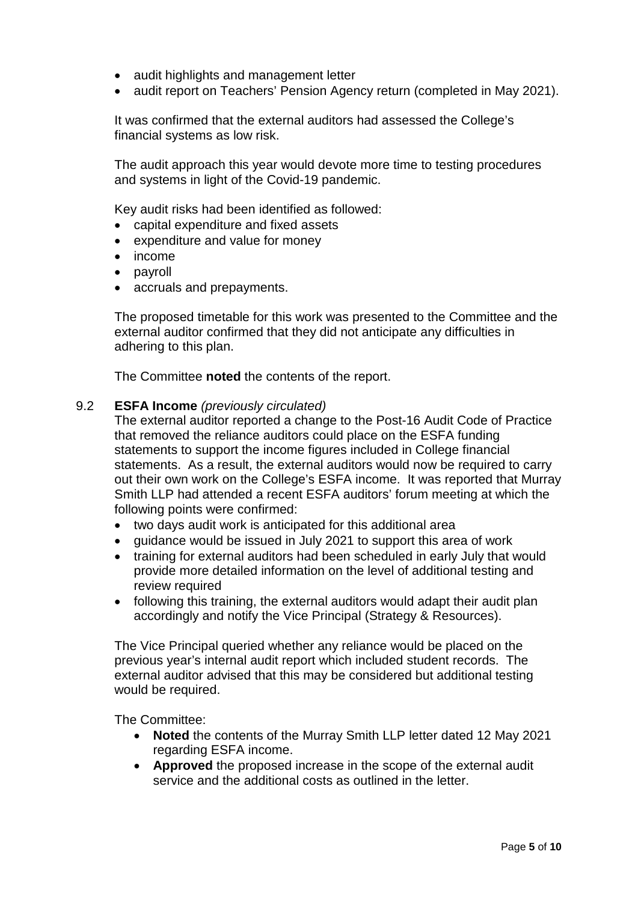- audit highlights and management letter
- audit report on Teachers' Pension Agency return (completed in May 2021).

It was confirmed that the external auditors had assessed the College's financial systems as low risk.

The audit approach this year would devote more time to testing procedures and systems in light of the Covid-19 pandemic.

Key audit risks had been identified as followed:

- capital expenditure and fixed assets
- expenditure and value for money
- income
- payroll
- accruals and prepayments.

The proposed timetable for this work was presented to the Committee and the external auditor confirmed that they did not anticipate any difficulties in adhering to this plan.

The Committee **noted** the contents of the report.

#### 9.2 **ESFA Income** *(previously circulated)*

The external auditor reported a change to the Post-16 Audit Code of Practice that removed the reliance auditors could place on the ESFA funding statements to support the income figures included in College financial statements. As a result, the external auditors would now be required to carry out their own work on the College's ESFA income. It was reported that Murray Smith LLP had attended a recent ESFA auditors' forum meeting at which the following points were confirmed:

- two days audit work is anticipated for this additional area
- guidance would be issued in July 2021 to support this area of work
- training for external auditors had been scheduled in early July that would provide more detailed information on the level of additional testing and review required
- following this training, the external auditors would adapt their audit plan accordingly and notify the Vice Principal (Strategy & Resources).

The Vice Principal queried whether any reliance would be placed on the previous year's internal audit report which included student records. The external auditor advised that this may be considered but additional testing would be required.

The Committee:

- **Noted** the contents of the Murray Smith LLP letter dated 12 May 2021 regarding ESFA income.
- **Approved** the proposed increase in the scope of the external audit service and the additional costs as outlined in the letter.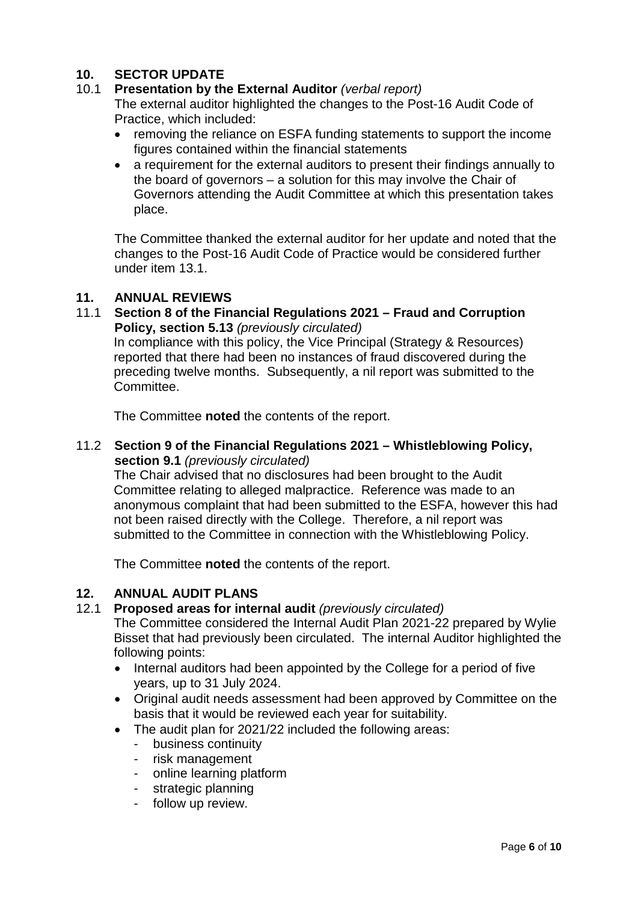# **10. SECTOR UPDATE**<br>**10.1 Presentation by the**

## 10.1 **Presentation by the External Auditor** *(verbal report)*

The external auditor highlighted the changes to the Post-16 Audit Code of Practice, which included:

- removing the reliance on ESFA funding statements to support the income figures contained within the financial statements
- a requirement for the external auditors to present their findings annually to the board of governors – a solution for this may involve the Chair of Governors attending the Audit Committee at which this presentation takes place.

The Committee thanked the external auditor for her update and noted that the changes to the Post-16 Audit Code of Practice would be considered further under item 13.1.

#### **11. ANNUAL REVIEWS**

11.1 **Section 8 of the Financial Regulations 2021 – Fraud and Corruption Policy, section 5.13** *(previously circulated)*

In compliance with this policy, the Vice Principal (Strategy & Resources) reported that there had been no instances of fraud discovered during the preceding twelve months. Subsequently, a nil report was submitted to the Committee.

The Committee **noted** the contents of the report.

#### 11.2 **Section 9 of the Financial Regulations 2021 – Whistleblowing Policy, section 9.1** *(previously circulated)*

The Chair advised that no disclosures had been brought to the Audit Committee relating to alleged malpractice. Reference was made to an anonymous complaint that had been submitted to the ESFA, however this had not been raised directly with the College. Therefore, a nil report was submitted to the Committee in connection with the Whistleblowing Policy.

The Committee **noted** the contents of the report.

#### **12. ANNUAL AUDIT PLANS**

#### 12.1 **Proposed areas for internal audit** *(previously circulated)*

The Committee considered the Internal Audit Plan 2021-22 prepared by Wylie Bisset that had previously been circulated. The internal Auditor highlighted the following points:

- Internal auditors had been appointed by the College for a period of five years, up to 31 July 2024.
- Original audit needs assessment had been approved by Committee on the basis that it would be reviewed each year for suitability.
- The audit plan for 2021/22 included the following areas:
	- business continuity
	- risk management
	- online learning platform
	- strategic planning
	- follow up review.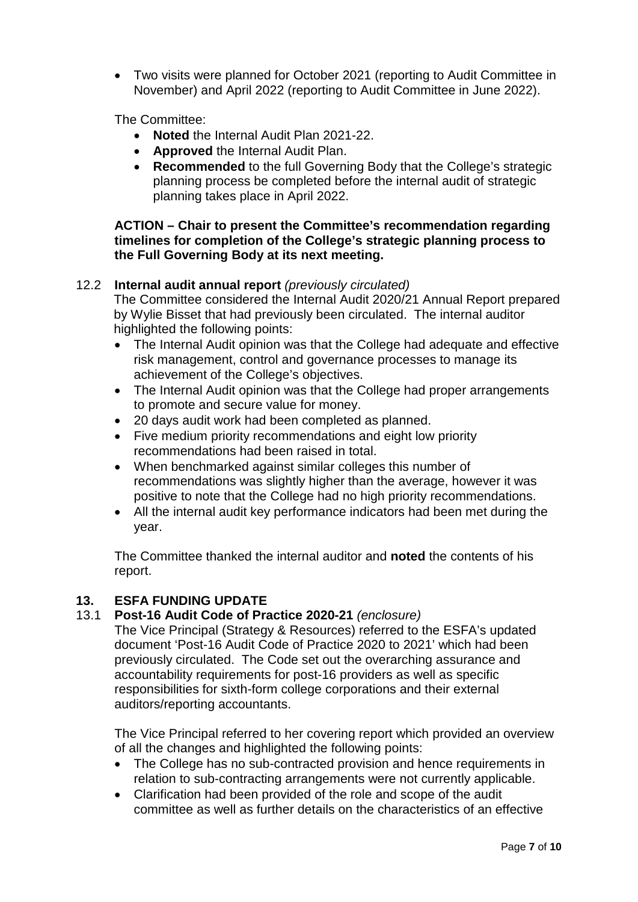• Two visits were planned for October 2021 (reporting to Audit Committee in November) and April 2022 (reporting to Audit Committee in June 2022).

The Committee:

- **Noted** the Internal Audit Plan 2021-22.
- **Approved** the Internal Audit Plan.
- **Recommended** to the full Governing Body that the College's strategic planning process be completed before the internal audit of strategic planning takes place in April 2022.

#### **ACTION – Chair to present the Committee's recommendation regarding timelines for completion of the College's strategic planning process to the Full Governing Body at its next meeting.**

#### 12.2 **Internal audit annual report** *(previously circulated)*

The Committee considered the Internal Audit 2020/21 Annual Report prepared by Wylie Bisset that had previously been circulated. The internal auditor highlighted the following points:

- The Internal Audit opinion was that the College had adequate and effective risk management, control and governance processes to manage its achievement of the College's objectives.
- The Internal Audit opinion was that the College had proper arrangements to promote and secure value for money.
- 20 days audit work had been completed as planned.
- Five medium priority recommendations and eight low priority recommendations had been raised in total.
- When benchmarked against similar colleges this number of recommendations was slightly higher than the average, however it was positive to note that the College had no high priority recommendations.
- All the internal audit key performance indicators had been met during the year.

The Committee thanked the internal auditor and **noted** the contents of his report.

#### **13. ESFA FUNDING UPDATE**

#### 13.1 **Post-16 Audit Code of Practice 2020-21** *(enclosure)*

The Vice Principal (Strategy & Resources) referred to the ESFA's updated document 'Post-16 Audit Code of Practice 2020 to 2021' which had been previously circulated. The Code set out the overarching assurance and accountability requirements for post-16 providers as well as specific responsibilities for sixth-form college corporations and their external auditors/reporting accountants.

The Vice Principal referred to her covering report which provided an overview of all the changes and highlighted the following points:

- The College has no sub-contracted provision and hence requirements in relation to sub-contracting arrangements were not currently applicable.
- Clarification had been provided of the role and scope of the audit committee as well as further details on the characteristics of an effective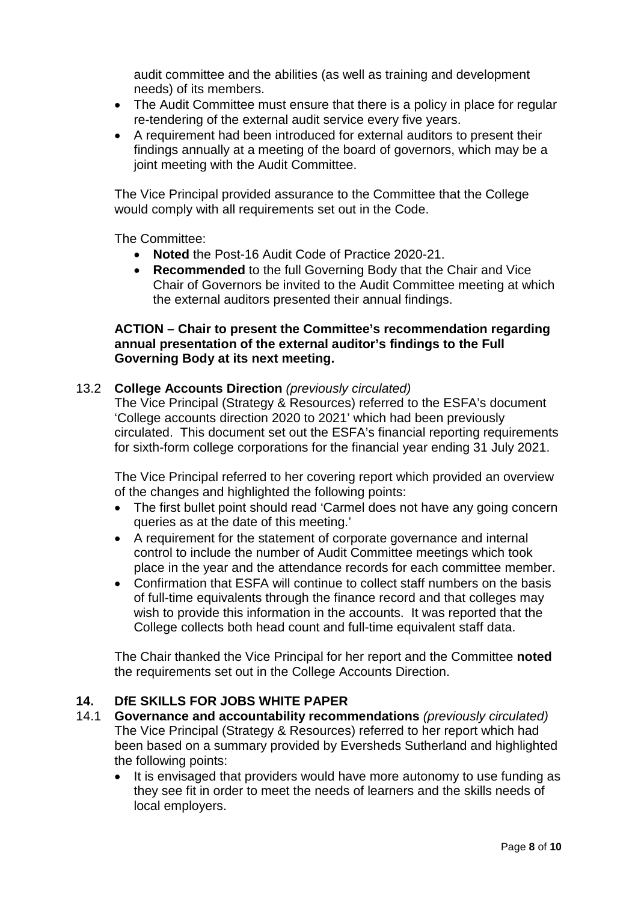audit committee and the abilities (as well as training and development needs) of its members.

- The Audit Committee must ensure that there is a policy in place for regular re-tendering of the external audit service every five years.
- A requirement had been introduced for external auditors to present their findings annually at a meeting of the board of governors, which may be a joint meeting with the Audit Committee.

The Vice Principal provided assurance to the Committee that the College would comply with all requirements set out in the Code.

The Committee:

- **Noted** the Post-16 Audit Code of Practice 2020-21.
- **Recommended** to the full Governing Body that the Chair and Vice Chair of Governors be invited to the Audit Committee meeting at which the external auditors presented their annual findings.

#### **ACTION – Chair to present the Committee's recommendation regarding annual presentation of the external auditor's findings to the Full Governing Body at its next meeting.**

#### 13.2 **College Accounts Direction** *(previously circulated)*

The Vice Principal (Strategy & Resources) referred to the ESFA's document 'College accounts direction 2020 to 2021' which had been previously circulated. This document set out the ESFA's financial reporting requirements for sixth-form college corporations for the financial year ending 31 July 2021.

The Vice Principal referred to her covering report which provided an overview of the changes and highlighted the following points:

- The first bullet point should read 'Carmel does not have any going concern queries as at the date of this meeting.'
- A requirement for the statement of corporate governance and internal control to include the number of Audit Committee meetings which took place in the year and the attendance records for each committee member.
- Confirmation that ESFA will continue to collect staff numbers on the basis of full-time equivalents through the finance record and that colleges may wish to provide this information in the accounts. It was reported that the College collects both head count and full-time equivalent staff data.

The Chair thanked the Vice Principal for her report and the Committee **noted** the requirements set out in the College Accounts Direction.

#### **14. DfE SKILLS FOR JOBS WHITE PAPER**

- 14.1 **Governance and accountability recommendations** *(previously circulated)* The Vice Principal (Strategy & Resources) referred to her report which had been based on a summary provided by Eversheds Sutherland and highlighted the following points:
	- It is envisaged that providers would have more autonomy to use funding as they see fit in order to meet the needs of learners and the skills needs of local employers.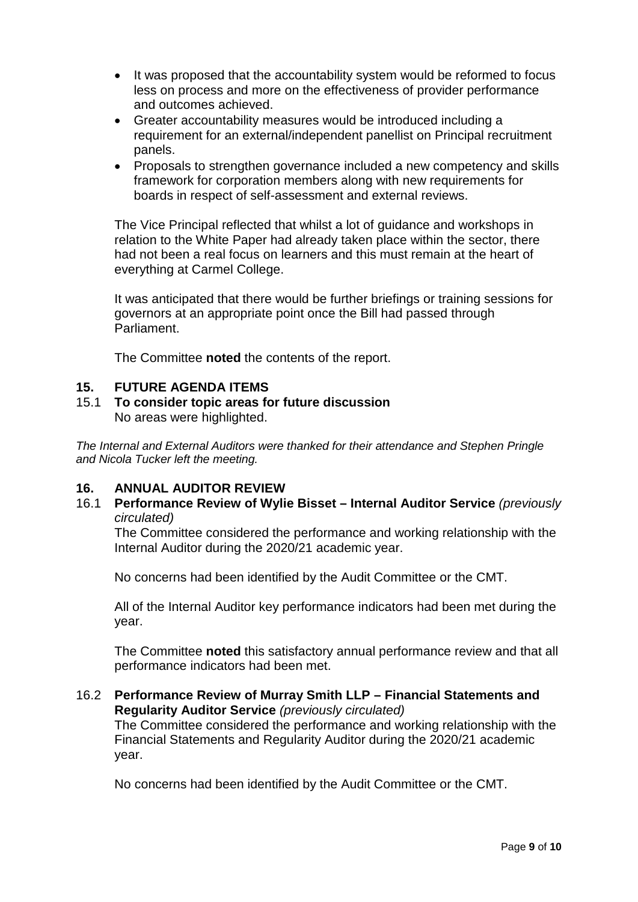- It was proposed that the accountability system would be reformed to focus less on process and more on the effectiveness of provider performance and outcomes achieved.
- Greater accountability measures would be introduced including a requirement for an external/independent panellist on Principal recruitment panels.
- Proposals to strengthen governance included a new competency and skills framework for corporation members along with new requirements for boards in respect of self-assessment and external reviews.

The Vice Principal reflected that whilst a lot of guidance and workshops in relation to the White Paper had already taken place within the sector, there had not been a real focus on learners and this must remain at the heart of everything at Carmel College.

It was anticipated that there would be further briefings or training sessions for governors at an appropriate point once the Bill had passed through Parliament.

The Committee **noted** the contents of the report.

#### **15. FUTURE AGENDA ITEMS**

#### 15.1 **To consider topic areas for future discussion** No areas were highlighted.

*The Internal and External Auditors were thanked for their attendance and Stephen Pringle and Nicola Tucker left the meeting.*

#### **16. ANNUAL AUDITOR REVIEW**

16.1 **Performance Review of Wylie Bisset – Internal Auditor Service** *(previously circulated)*

The Committee considered the performance and working relationship with the Internal Auditor during the 2020/21 academic year.

No concerns had been identified by the Audit Committee or the CMT.

All of the Internal Auditor key performance indicators had been met during the year.

The Committee **noted** this satisfactory annual performance review and that all performance indicators had been met.

#### 16.2 **Performance Review of Murray Smith LLP – Financial Statements and Regularity Auditor Service** *(previously circulated)* The Committee considered the performance and working relationship with the Financial Statements and Regularity Auditor during the 2020/21 academic year.

No concerns had been identified by the Audit Committee or the CMT.